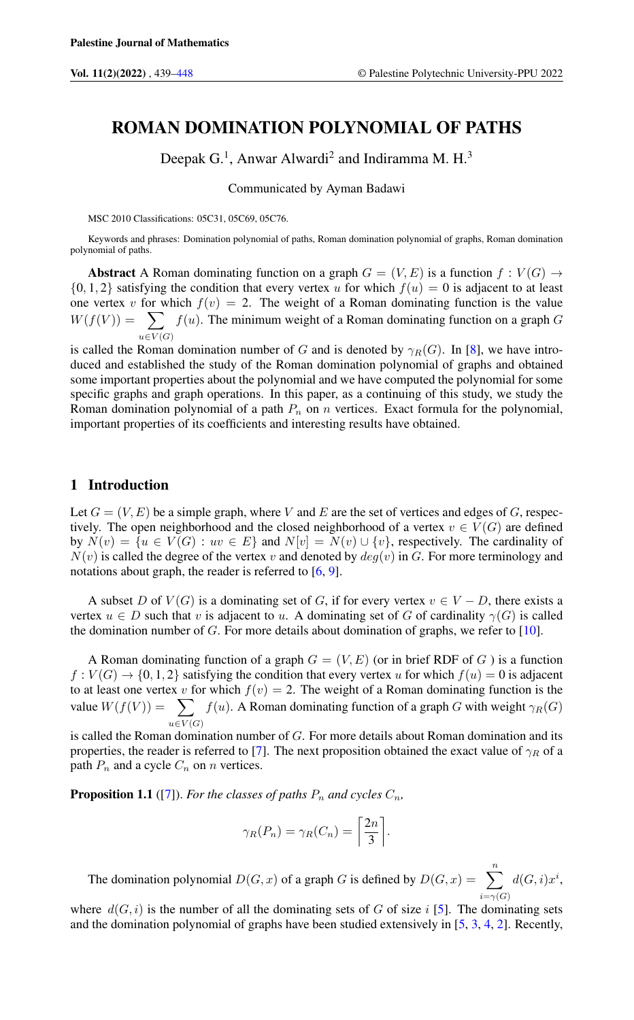# ROMAN DOMINATION POLYNOMIAL OF PATHS

Deepak  $G<sup>1</sup>$ , Anwar Alwardi<sup>2</sup> and Indiramma M. H.<sup>3</sup>

Communicated by Ayman Badawi

MSC 2010 Classifications: 05C31, 05C69, 05C76.

Keywords and phrases: Domination polynomial of paths, Roman domination polynomial of graphs, Roman domination polynomial of paths.

Abstract A Roman dominating function on a graph  $G = (V, E)$  is a function  $f : V(G) \rightarrow$  $\{0, 1, 2\}$  satisfying the condition that every vertex u for which  $f(u) = 0$  is adjacent to at least one vertex v for which  $f(v) = 2$ . The weight of a Roman dominating function is the value  $W(f(V)) = \sum$  $u\in V(G)$  $f(u)$ . The minimum weight of a Roman dominating function on a graph  $G$ 

is called the Roman domination number of G and is denoted by  $\gamma_R(G)$ . In [\[8\]](#page-9-0), we have introduced and established the study of the Roman domination polynomial of graphs and obtained some important properties about the polynomial and we have computed the polynomial for some specific graphs and graph operations. In this paper, as a continuing of this study, we study the Roman domination polynomial of a path  $P_n$  on n vertices. Exact formula for the polynomial, important properties of its coefficients and interesting results have obtained.

#### 1 Introduction

Let  $G = (V, E)$  be a simple graph, where V and E are the set of vertices and edges of G, respectively. The open neighborhood and the closed neighborhood of a vertex  $v \in V(G)$  are defined by  $N(v) = \{u \in V(G) : uv \in E\}$  and  $N[v] = N(v) \cup \{v\}$ , respectively. The cardinality of  $N(v)$  is called the degree of the vertex v and denoted by  $deg(v)$  in G. For more terminology and notations about graph, the reader is referred to [\[6,](#page-8-1) [9\]](#page-9-1).

A subset D of  $V(G)$  is a dominating set of G, if for every vertex  $v \in V - D$ , there exists a vertex  $u \in D$  such that v is adjacent to u. A dominating set of G of cardinality  $\gamma(G)$  is called the domination number of  $G$ . For more details about domination of graphs, we refer to  $[10]$ .

A Roman dominating function of a graph  $G = (V, E)$  (or in brief RDF of G) is a function  $f: V(G) \to \{0, 1, 2\}$  satisfying the condition that every vertex u for which  $f(u) = 0$  is adjacent to at least one vertex v for which  $f(v) = 2$ . The weight of a Roman dominating function is the value  $W(f(V)) = \sum$  $u\in V(G)$  $f(u)$ . A Roman dominating function of a graph G with weight  $\gamma_R(G)$ 

is called the Roman domination number of G. For more details about Roman domination and its properties, the reader is referred to [\[7\]](#page-8-2). The next proposition obtained the exact value of  $\gamma_R$  of a path  $P_n$  and a cycle  $C_n$  on n vertices.

**Proposition 1.1** ([\[7\]](#page-8-2)). *For the classes of paths*  $P_n$  *and cycles*  $C_n$ *,* 

$$
\gamma_R(P_n) = \gamma_R(C_n) = \left\lceil \frac{2n}{3} \right\rceil.
$$

The domination polynomial  $D(G, x)$  of a graph G is defined by  $D(G, x) = \sum_{n=1}^{n}$  $i=\gamma(G)$  $d(G,i)x^i$ 

where  $d(G, i)$  is the number of all the dominating sets of G of size i [\[5\]](#page-8-3). The dominating sets and the domination polynomial of graphs have been studied extensively in [\[5,](#page-8-3) [3,](#page-8-4) [4,](#page-8-5) [2\]](#page-8-6). Recently,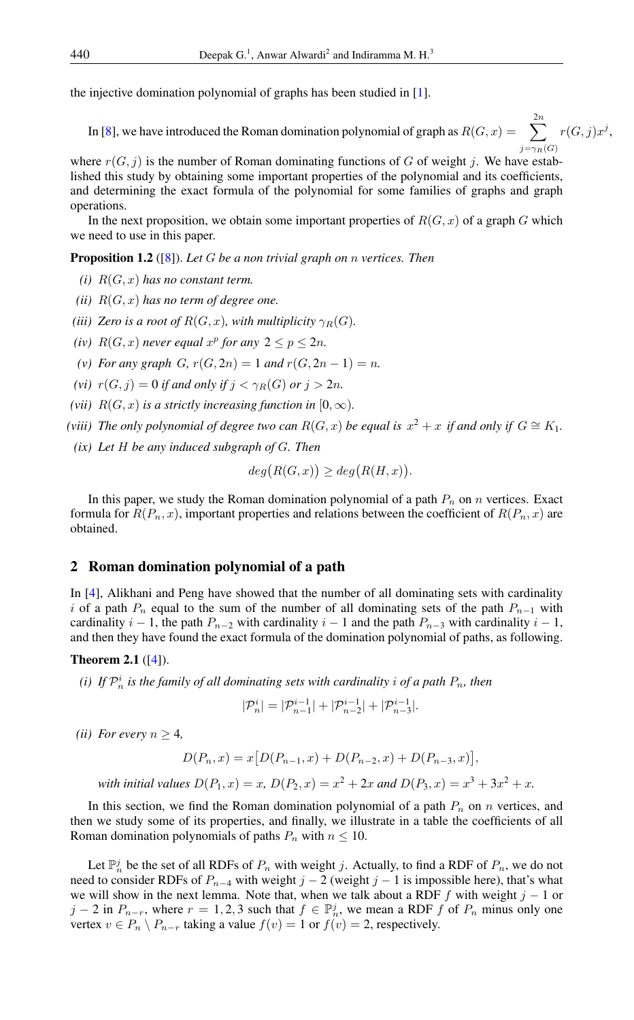the injective domination polynomial of graphs has been studied in [\[1\]](#page-8-7).

In [\[8\]](#page-9-0), we have introduced the Roman domination polynomial of graph as  $R(G, x) = \sum_{n=1}^{\infty}$  $j=\gamma_R(G)$  $r(G, j)x^j$ ,

where  $r(G, j)$  is the number of Roman dominating functions of G of weight j. We have established this study by obtaining some important properties of the polynomial and its coefficients, and determining the exact formula of the polynomial for some families of graphs and graph operations.

In the next proposition, we obtain some important properties of  $R(G, x)$  of a graph G which we need to use in this paper.

<span id="page-1-1"></span>Proposition 1.2 ([\[8\]](#page-9-0)). *Let* G *be a non trivial graph on* n *vertices. Then*

- *(i)*  $R(G, x)$  *has no constant term.*
- *(ii)*  $R(G, x)$  *has no term of degree one.*
- *(iii) Zero is a root of*  $R(G, x)$ *, with multiplicity*  $\gamma_R(G)$ *.*
- (*iv*)  $R(G, x)$  *never equal*  $x^p$  *for any*  $2 \le p \le 2n$ *.*
- (v) For any graph  $G, r(G, 2n) = 1$  and  $r(G, 2n 1) = n$ .
- *(vi)*  $r(G, j) = 0$  *if and only if*  $j < \gamma_B(G)$  *or*  $j > 2n$ *.*
- *(vii)*  $R(G, x)$  *is a strictly increasing function in*  $[0, \infty)$ *.*
- *(viii)* The only polynomial of degree two can  $R(G, x)$  be equal is  $x^2 + x$  if and only if  $G \cong K_1$ .
- *(ix) Let* H *be any induced subgraph of* G*. Then*

$$
deg(R(G, x)) \geq deg(R(H, x)).
$$

In this paper, we study the Roman domination polynomial of a path  $P_n$  on n vertices. Exact formula for  $R(P_n, x)$ , important properties and relations between the coefficient of  $R(P_n, x)$  are obtained.

## 2 Roman domination polynomial of a path

In [\[4\]](#page-8-5), Alikhani and Peng have showed that the number of all dominating sets with cardinality i of a path  $P_n$  equal to the sum of the number of all dominating sets of the path  $P_{n-1}$  with cardinality  $i - 1$ , the path  $P_{n-2}$  with cardinality  $i - 1$  and the path  $P_{n-3}$  with cardinality  $i - 1$ , and then they have found the exact formula of the domination polynomial of paths, as following.

### <span id="page-1-0"></span>Theorem 2.1 ([\[4\]](#page-8-5)).

*(i)* If  $\mathcal{P}_n^i$  is the family of all dominating sets with cardinality i of a path  $P_n$ , then

$$
|\mathcal{P}^i_n| = |\mathcal{P}^{i-1}_{n-1}| + |\mathcal{P}^{i-1}_{n-2}| + |\mathcal{P}^{i-1}_{n-3}|.
$$

*(ii) For every*  $n \geq 4$ *,* 

$$
D(P_n, x) = x [D(P_{n-1}, x) + D(P_{n-2}, x) + D(P_{n-3}, x)],
$$

*with initial values*  $D(P_1, x) = x$ ,  $D(P_2, x) = x^2 + 2x$  and  $D(P_3, x) = x^3 + 3x^2 + x$ .

In this section, we find the Roman domination polynomial of a path  $P_n$  on n vertices, and then we study some of its properties, and finally, we illustrate in a table the coefficients of all Roman domination polynomials of paths  $P_n$  with  $n \leq 10$ .

Let  $\mathbb{P}_n^j$  be the set of all RDFs of  $P_n$  with weight j. Actually, to find a RDF of  $P_n$ , we do not need to consider RDFs of  $P_{n-4}$  with weight j – 2 (weight j – 1 is impossible here), that's what we will show in the next lemma. Note that, when we talk about a RDF f with weight  $j - 1$  or  $j-2$  in  $P_{n-r}$ , where  $r=1,2,3$  such that  $f \in \mathbb{P}_n^j$ , we mean a RDF f of  $P_n$  minus only one vertex  $v \in P_n \setminus P_{n-r}$  taking a value  $f(v) = 1$  or  $f(v) = 2$ , respectively.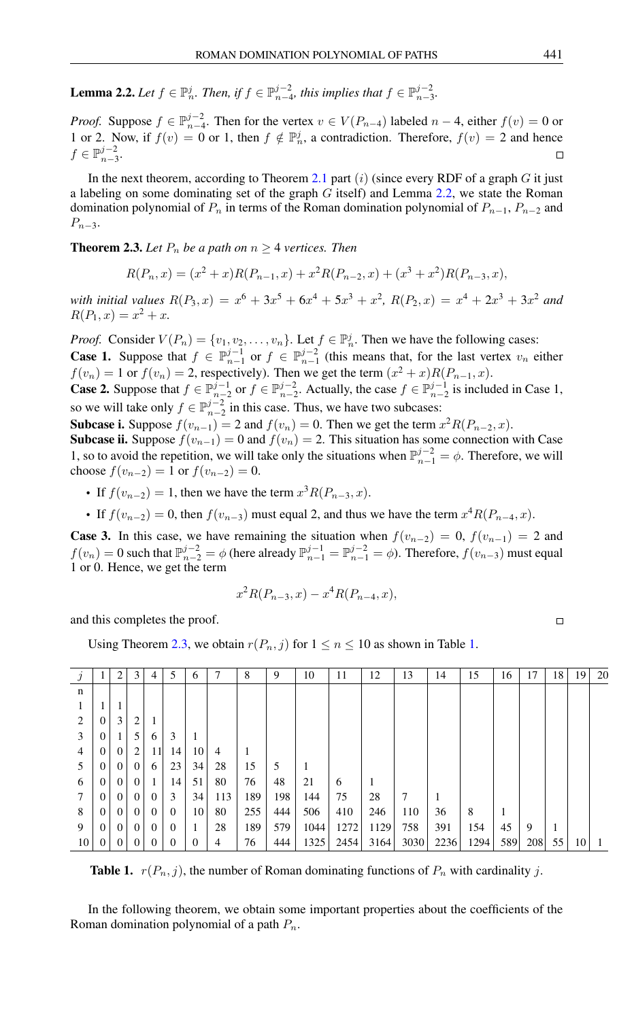<span id="page-2-0"></span>**Lemma 2.2.** Let  $f \in \mathbb{P}_n^j$ . Then, if  $f \in \mathbb{P}_{n-4}^{j-2}$ , this implies that  $f \in \mathbb{P}_{n-3}^{j-2}$ .

*Proof.* Suppose  $f \in \mathbb{P}_{n-4}^{j-2}$ . Then for the vertex  $v \in V(P_{n-4})$  labeled  $n-4$ , either  $f(v) = 0$  or 1 or 2. Now, if  $f(v) = 0$  or 1, then  $f \notin \mathbb{P}_n^j$ , a contradiction. Therefore,  $f(v) = 2$  and hence  $f \in \mathbb{P}_{n-3}^{j-2}$ .

In the next theorem, according to Theorem [2.1](#page-1-0) part  $(i)$  (since every RDF of a graph G it just a labeling on some dominating set of the graph  $G$  itself) and Lemma [2.2,](#page-2-0) we state the Roman domination polynomial of  $P_n$  in terms of the Roman domination polynomial of  $P_{n-1}$ ,  $P_{n-2}$  and  $P_{n-3}$ .

<span id="page-2-1"></span>**Theorem 2.3.** Let  $P_n$  be a path on  $n \geq 4$  vertices. Then

$$
R(P_n, x) = (x^2 + x)R(P_{n-1}, x) + x^2R(P_{n-2}, x) + (x^3 + x^2)R(P_{n-3}, x),
$$

with initial values  $R(P_3, x) = x^6 + 3x^5 + 6x^4 + 5x^3 + x^2$ ,  $R(P_2, x) = x^4 + 2x^3 + 3x^2$  and  $R(P_1, x) = x^2 + x.$ 

*Proof.* Consider  $V(P_n) = \{v_1, v_2, \dots, v_n\}$ . Let  $f \in \mathbb{P}_n^j$ . Then we have the following cases: **Case 1.** Suppose that  $f \in \mathbb{P}_{n-1}^{j-1}$  or  $f \in \mathbb{P}_{n-1}^{j-2}$  (this means that, for the last vertex  $v_n$  either  $f(v_n) = 1$  or  $f(v_n) = 2$ , respectively). Then we get the term  $(x^2 + x)R(P_{n-1}, x)$ .

**Case 2.** Suppose that  $f \in \mathbb{P}_{n-2}^{j-1}$  or  $f \in \mathbb{P}_{n-2}^{j-2}$ . Actually, the case  $f \in \mathbb{P}_{n-2}^{j-1}$  is included in Case 1, so we will take only  $f \in \mathbb{P}_{n-2}^{j-2}$  in this case. Thus, we have two subcases:

**Subcase i.** Suppose  $f(v_{n-1}) = 2$  and  $f(v_n) = 0$ . Then we get the term  $x^2 R(P_{n-2}, x)$ . **Subcase ii.** Suppose  $f(v_{n-1}) = 0$  and  $f(v_n) = 2$ . This situation has some connection with Case

1, so to avoid the repetition, we will take only the situations when  $\mathbb{P}_{n-1}^{j-2} = \phi$ . Therefore, we will choose  $f(v_{n-2}) = 1$  or  $f(v_{n-2}) = 0$ .

- If  $f(v_{n-2}) = 1$ , then we have the term  $x^3 R(P_{n-3}, x)$ .
- If  $f(v_{n-2}) = 0$ , then  $f(v_{n-3})$  must equal 2, and thus we have the term  $x^4 R(P_{n-4}, x)$ .

**Case 3.** In this case, we have remaining the situation when  $f(v_{n-2}) = 0$ ,  $f(v_{n-1}) = 2$  and  $f(v_n) = 0$  such that  $\mathbb{P}_{n-2}^{j-2} = \phi$  (here already  $\mathbb{P}_{n-1}^{j-1} = \mathbb{P}_{n-1}^{j-2} = \phi$ ). Therefore,  $f(v_{n-3})$  must equal 1 or 0. Hence, we get the term

$$
x^2 R(P_{n-3}, x) - x^4 R(P_{n-4}, x),
$$

and this completes the proof.

Using Theorem [2.3,](#page-2-1) we obtain  $r(P_n, j)$  for  $1 \le n \le 10$  as shown in Table [1.](#page-2-2)

|                             |          | 2        | 3        | 4        | 5        | 6  | 7              | 8   | 9   | 10   | 11   | 12   | 13   | 14   | 15   | 16  | 17  | 18 | 19 | 20 |
|-----------------------------|----------|----------|----------|----------|----------|----|----------------|-----|-----|------|------|------|------|------|------|-----|-----|----|----|----|
| n                           |          |          |          |          |          |    |                |     |     |      |      |      |      |      |      |     |     |    |    |    |
|                             |          |          |          |          |          |    |                |     |     |      |      |      |      |      |      |     |     |    |    |    |
| $\mathcal{D}_{\mathcal{L}}$ | $\Omega$ | 3        | 2        |          |          |    |                |     |     |      |      |      |      |      |      |     |     |    |    |    |
| 3                           | $\Omega$ |          | 5        | 6        | 3        |    |                |     |     |      |      |      |      |      |      |     |     |    |    |    |
| $\overline{4}$              | $\Omega$ | $\theta$ | 2        | 11       | 14       | 10 | $\overline{4}$ |     |     |      |      |      |      |      |      |     |     |    |    |    |
|                             | $\Omega$ | $\left($ | $\theta$ | 6        | 23       | 34 | 28             | 15  | 5   |      |      |      |      |      |      |     |     |    |    |    |
| 6                           | $\Omega$ | $\theta$ | $\Omega$ |          | 14       | 51 | 80             | 76  | 48  | 21   | 6    |      |      |      |      |     |     |    |    |    |
| 7                           | $\Omega$ | $\theta$ | $\theta$ | $\Omega$ | 3        | 34 | 113            | 189 | 198 | 144  | 75   | 28   | 7    |      |      |     |     |    |    |    |
| 8                           | $\Omega$ | $\Omega$ | $\theta$ | $\Omega$ | $\Omega$ | 10 | 80             | 255 | 444 | 506  | 410  | 246  | 110  | 36   | 8    |     |     |    |    |    |
| 9                           | $\Omega$ | $\Omega$ | $\theta$ | $\Omega$ | $\Omega$ |    | 28             | 189 | 579 | 1044 | 1272 | 1129 | 758  | 391  | 154  | 45  | 9   |    |    |    |
| 10                          | $\theta$ | $\theta$ | $\Omega$ | 0        | $\Omega$ |    | 4              | 76  | 444 | 1325 | 2454 | 3164 | 3030 | 2236 | 1294 | 589 | 208 | 55 | 10 |    |
|                             |          |          |          |          |          |    |                |     |     |      |      |      |      |      |      |     |     |    |    |    |

<span id="page-2-2"></span>**Table 1.**  $r(P_n, j)$ , the number of Roman dominating functions of  $P_n$  with cardinality j.

In the following theorem, we obtain some important properties about the coefficients of the Roman domination polynomial of a path  $P_n$ .

$$
\qquad \qquad \Box
$$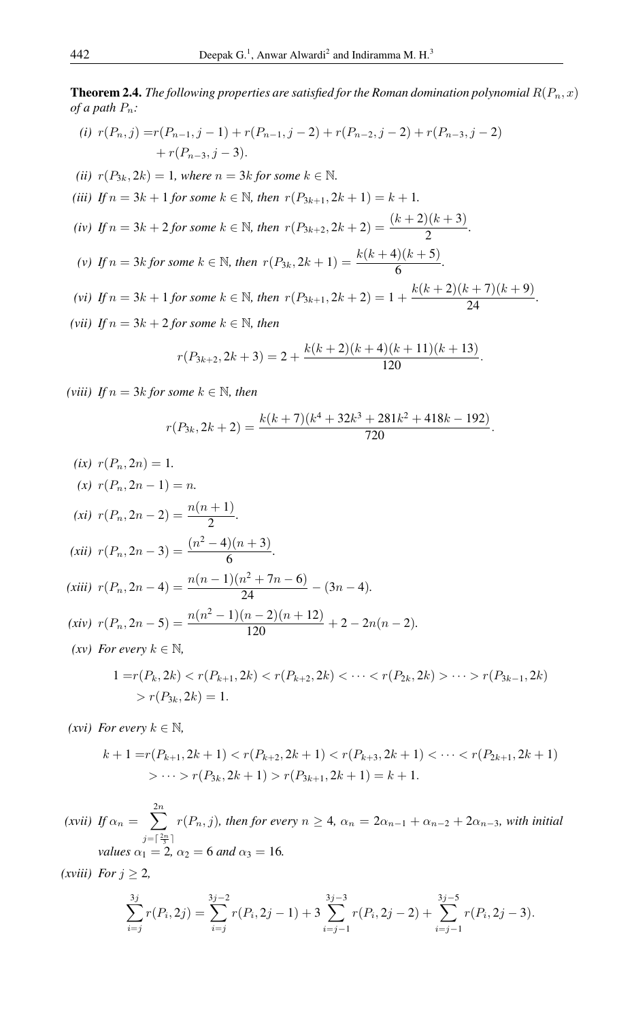**Theorem 2.4.** *The following properties are satisfied for the Roman domination polynomial*  $R(P_n, x)$ *of a path*  $P_n$ *:* 

(i) 
$$
r(P_n, j) = r(P_{n-1}, j-1) + r(P_{n-1}, j-2) + r(P_{n-2}, j-2) + r(P_{n-3}, j-2) + r(P_{n-3}, j-3).
$$

- *(ii)*  $r(P_{3k}, 2k) = 1$ *, where*  $n = 3k$  *for some*  $k \in \mathbb{N}$ *.*
- *(iii) If*  $n = 3k + 1$  *for some*  $k \in \mathbb{N}$ *, then*  $r(P_{3k+1}, 2k+1) = k + 1$ *.*
- *(iv) If*  $n = 3k + 2$  *for some*  $k \in \mathbb{N}$ *, then*  $r(P_{3k+2}, 2k+2) = \frac{(k+2)(k+3)}{2}$ *.*
- *(v) If*  $n = 3k$  *for some*  $k \in \mathbb{N}$ *, then*  $r(P_{3k}, 2k+1) = \frac{k(k+4)(k+5)}{6}$ .
- *(vi) If*  $n = 3k + 1$  *for some*  $k \in \mathbb{N}$ *, then*  $r(P_{3k+1}, 2k+2) = 1 + \frac{k(k+2)(k+7)(k+9)}{24}$ .
- (*vii*) *If*  $n = 3k + 2$  *for some*  $k \in \mathbb{N}$ *, then*

$$
r(P_{3k+2}, 2k+3) = 2 + \frac{k(k+2)(k+4)(k+11)(k+13)}{120}.
$$

*(viii) If*  $n = 3k$  *for some*  $k \in \mathbb{N}$ *, then* 

$$
r(P_{3k}, 2k+2) = \frac{k(k+7)(k^4 + 32k^3 + 281k^2 + 418k - 192)}{720}.
$$

(ix) 
$$
r(P_n, 2n) = 1
$$
.  
\n(x)  $r(P_n, 2n - 1) = n$ .  
\n(xi)  $r(P_n, 2n - 2) = \frac{n(n + 1)}{2}$ .  
\n(xii)  $r(P_n, 2n - 3) = \frac{(n^2 - 4)(n + 3)}{6}$ .  
\n(xiii)  $r(P_n, 2n - 4) = \frac{n(n - 1)(n^2 + 7n - 6)}{24} - (3n - 4)$ .  
\n(xiv)  $r(P_n, 2n - 5) = \frac{n(n^2 - 1)(n - 2)(n + 12)}{120} + 2 - 2n(n - 2)$ .  
\n(xv) For every  $k \in \mathbb{N}$ ,  
\n $1 = r(P_k, 2k) < r(P_{k+1}, 2k) < r(P_{k+2}, 2k) < \cdots < r(P_{2k}, 2k) > \cdots > r(P_{3k-1}, 2k)$   
\n $> r(P_{3k}, 2k) = 1$ .

*(xvi) For every*  $k \in \mathbb{N}$ ,

$$
k+1 = r(P_{k+1}, 2k+1) < r(P_{k+2}, 2k+1) < r(P_{k+3}, 2k+1) < \cdots < r(P_{2k+1}, 2k+1) \\
> \cdots > r(P_{3k}, 2k+1) > r(P_{3k+1}, 2k+1) = k+1.
$$

*(xvii) If*  $\alpha_n = \sum_{n=1}^{\infty}$  $j=\lceil \frac{2n}{3} \rceil$  $r(P_n, j)$ *, then for every*  $n \geq 4$ *,*  $\alpha_n = 2\alpha_{n-1} + \alpha_{n-2} + 2\alpha_{n-3}$ *, with initial values*  $\alpha_1 = 2$ ,  $\alpha_2 = 6$  *and*  $\alpha_3 = 16$ *.* 

*(xviii) For*  $j \geq 2$ *,* 

$$
\sum_{i=j}^{3j} r(P_i, 2j) = \sum_{i=j}^{3j-2} r(P_i, 2j-1) + 3 \sum_{i=j-1}^{3j-3} r(P_i, 2j-2) + \sum_{i=j-1}^{3j-5} r(P_i, 2j-3).
$$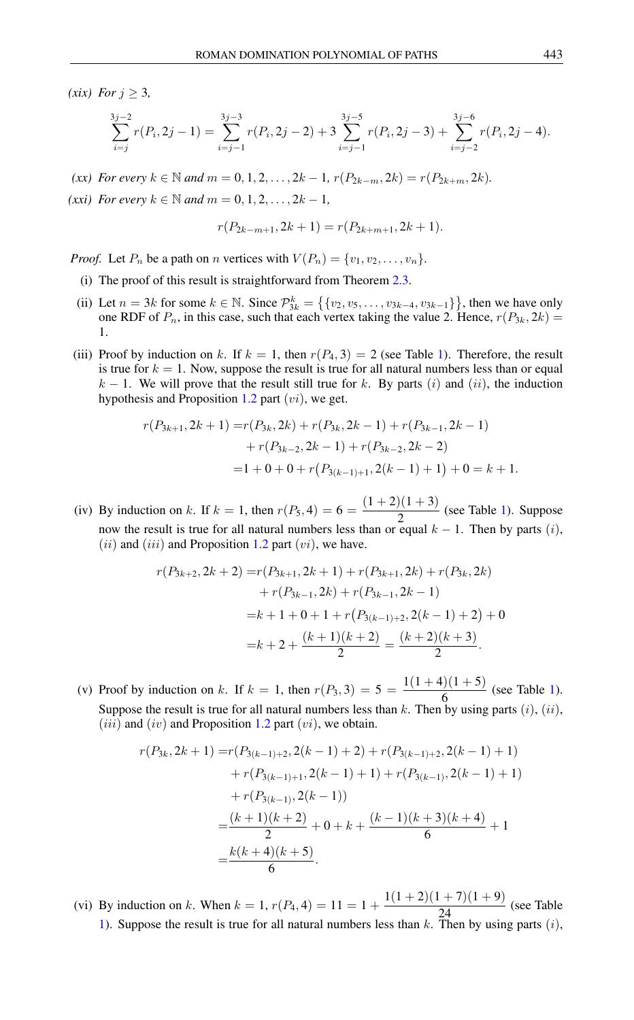*(xix) For*  $j \geq 3$ *,* 

$$
\sum_{i=j}^{3j-2} r(P_i, 2j-1) = \sum_{i=j-1}^{3j-3} r(P_i, 2j-2) + 3 \sum_{i=j-1}^{3j-5} r(P_i, 2j-3) + \sum_{i=j-2}^{3j-6} r(P_i, 2j-4).
$$

*(xx) For every*  $k \in \mathbb{N}$  *and*  $m = 0, 1, 2, ..., 2k - 1$ ,  $r(P_{2k-m}, 2k) = r(P_{2k+m}, 2k)$ *.* 

*(xxi) For every*  $k \in \mathbb{N}$  *and*  $m = 0, 1, 2, ..., 2k - 1$ *,* 

$$
r(P_{2k-m+1}, 2k+1) = r(P_{2k+m+1}, 2k+1).
$$

*Proof.* Let  $P_n$  be a path on n vertices with  $V(P_n) = \{v_1, v_2, \ldots, v_n\}$ .

- (i) The proof of this result is straightforward from Theorem [2.3.](#page-2-1)
- (ii) Let  $n = 3k$  for some  $k \in \mathbb{N}$ . Since  $\mathcal{P}_{3k}^k = \left\{ \{v_2, v_5, \ldots, v_{3k-4}, v_{3k-1}\} \right\}$ , then we have only one RDF of  $P_n$ , in this case, such that each vertex taking the value 2. Hence,  $r(P_{3k}, 2k)$  = 1.
- (iii) Proof by induction on k. If  $k = 1$ , then  $r(P_4, 3) = 2$  (see Table [1\)](#page-2-2). Therefore, the result is true for  $k = 1$ . Now, suppose the result is true for all natural numbers less than or equal  $k - 1$ . We will prove that the result still true for k. By parts (i) and (ii), the induction hypothesis and Proposition [1.2](#page-1-1) part  $(vi)$ , we get.

$$
r(P_{3k+1}, 2k+1) = r(P_{3k}, 2k) + r(P_{3k}, 2k-1) + r(P_{3k-1}, 2k-1)
$$
  
+ 
$$
r(P_{3k-2}, 2k-1) + r(P_{3k-2}, 2k-2)
$$
  
= 
$$
1 + 0 + 0 + r(P_{3(k-1)+1}, 2(k-1) + 1) + 0 = k + 1.
$$

(iv) By induction on k. If  $k = 1$ , then  $r(P_5, 4) = 6 = \frac{(1+2)(1+3)}{2}$  $\frac{2}{2}$  (see Table [1\)](#page-2-2). Suppose now the result is true for all natural numbers less than or equal  $k - 1$ . Then by parts (i),  $(ii)$  and  $(iii)$  and Proposition [1.2](#page-1-1) part  $(vi)$ , we have.

$$
r(P_{3k+2}, 2k+2) = r(P_{3k+1}, 2k+1) + r(P_{3k+1}, 2k) + r(P_{3k}, 2k)
$$
  
+ 
$$
r(P_{3k-1}, 2k) + r(P_{3k-1}, 2k-1)
$$
  
= 
$$
k+1+0+1+r(P_{3(k-1)+2}, 2(k-1)+2) + 0
$$
  
= 
$$
k+2+\frac{(k+1)(k+2)}{2} = \frac{(k+2)(k+3)}{2}.
$$

(v) Proof by induction on k. If  $k = 1$ , then  $r(P_3, 3) = 5 = \frac{1(1 + 4)(1 + 5)}{6}$  $\frac{6}{6}$  (see Table [1\)](#page-2-2). Suppose the result is true for all natural numbers less than k. Then by using parts  $(i)$ ,  $(ii)$ , (*iii*) and (*iv*) and Proposition [1.2](#page-1-1) part (*vi*), we obtain.

$$
r(P_{3k}, 2k+1) = r(P_{3(k-1)+2}, 2(k-1)+2) + r(P_{3(k-1)+2}, 2(k-1)+1)
$$
  
+ 
$$
r(P_{3(k-1)+1}, 2(k-1)+1) + r(P_{3(k-1)}, 2(k-1)+1)
$$
  
+ 
$$
r(P_{3(k-1)}, 2(k-1))
$$
  
= 
$$
\frac{(k+1)(k+2)}{2} + 0 + k + \frac{(k-1)(k+3)(k+4)}{6} + 1
$$
  
= 
$$
\frac{k(k+4)(k+5)}{6}.
$$

(vi) By induction on k. When  $k = 1$ ,  $r(P_4, 4) = 11 = 1 + \frac{1(1+2)(1+7)(1+9)}{24}$  (see Table [1\)](#page-2-2). Suppose the result is true for all natural numbers less than  $k$ . Then by using parts  $(i)$ ,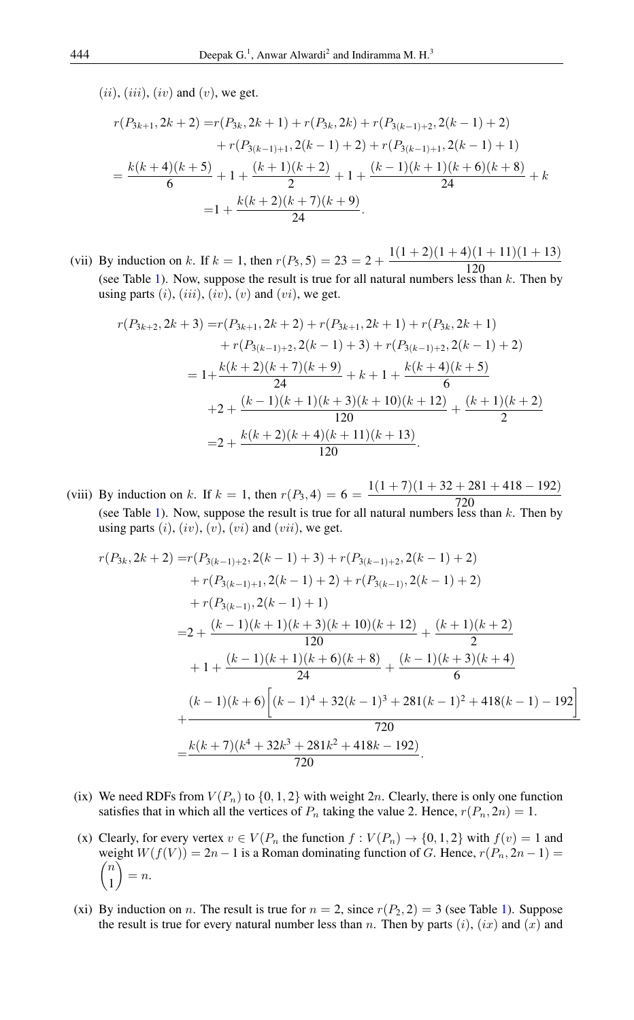$(ii), (iii), (iv)$  and  $(v)$ , we get.

$$
r(P_{3k+1}, 2k+2) = r(P_{3k}, 2k+1) + r(P_{3k}, 2k) + r(P_{3(k-1)+2}, 2(k-1)+2)
$$
  
+ 
$$
r(P_{3(k-1)+1}, 2(k-1)+2) + r(P_{3(k-1)+1}, 2(k-1)+1)
$$
  
= 
$$
\frac{k(k+4)(k+5)}{6} + 1 + \frac{(k+1)(k+2)}{2} + 1 + \frac{(k-1)(k+1)(k+6)(k+8)}{24} + k
$$
  
= 
$$
1 + \frac{k(k+2)(k+7)(k+9)}{24}.
$$

(vii) By induction on k. If  $k = 1$ , then  $r(P_5, 5) = 23 = 2 + \frac{1(1+2)(1+4)(1+11)(1+13)}{120}$ 120 (see Table [1\)](#page-2-2). Now, suppose the result is true for all natural numbers less than  $k$ . Then by using parts  $(i)$ ,  $(iii)$ ,  $(iv)$ ,  $(v)$  and  $(vi)$ , we get.

$$
r(P_{3k+2}, 2k+3) = r(P_{3k+1}, 2k+2) + r(P_{3k+1}, 2k+1) + r(P_{3k}, 2k+1)
$$
  
+  $r(P_{3(k-1)+2}, 2(k-1)+3) + r(P_{3(k-1)+2}, 2(k-1)+2)$   
=  $1 + \frac{k(k+2)(k+7)(k+9)}{24} + k + 1 + \frac{k(k+4)(k+5)}{6}$   
+  $2 + \frac{(k-1)(k+1)(k+3)(k+10)(k+12)}{120} + \frac{(k+1)(k+2)}{2}$   
=  $2 + \frac{k(k+2)(k+4)(k+11)(k+13)}{120}$ .

(viii) By induction on k. If  $k = 1$ , then  $r(P_3, 4) = 6 = \frac{1(1 + 7)(1 + 32 + 281 + 418 - 192)}{720}$ 720 (see Table [1\)](#page-2-2). Now, suppose the result is true for all natural numbers less than  $k$ . Then by using parts  $(i)$ ,  $(iv)$ ,  $(v)$ ,  $(vi)$  and  $(vii)$ , we get.

$$
r(P_{3k}, 2k+2) = r(P_{3(k-1)+2}, 2(k-1) + 3) + r(P_{3(k-1)+2}, 2(k-1) + 2)
$$
  
+  $r(P_{3(k-1)+1}, 2(k-1) + 2) + r(P_{3(k-1)}, 2(k-1) + 2)$   
+  $r(P_{3(k-1)}, 2(k-1) + 1)$   
=  $2 + \frac{(k-1)(k+1)(k+3)(k+10)(k+12)}{120} + \frac{(k+1)(k+2)}{2}$   
+  $1 + \frac{(k-1)(k+1)(k+6)(k+8)}{24} + \frac{(k-1)(k+3)(k+4)}{6}$   
 $(k-1)(k+6) [(k-1)^4 + 32(k-1)^3 + 281(k-1)^2 + 418(k-1) - 192]$   
+  $\frac{k(k+7)(k^4 + 32k^3 + 281k^2 + 418k - 192)}{720}$ .

- (ix) We need RDFs from  $V(P_n)$  to  $\{0, 1, 2\}$  with weight 2n. Clearly, there is only one function satisfies that in which all the vertices of  $P_n$  taking the value 2. Hence,  $r(P_n, 2n) = 1$ .
- (x) Clearly, for every vertex  $v \in V(P_n)$  the function  $f: V(P_n) \to \{0, 1, 2\}$  with  $f(v) = 1$  and weight  $W(f(V)) = 2n - 1$  is a Roman dominating function of G. Hence,  $r(P_n, 2n - 1) =$  $\sqrt{ }$ n 1  $\setminus$  $= n$ .
- (xi) By induction on *n*. The result is true for  $n = 2$ , since  $r(P_2, 2) = 3$  (see Table [1\)](#page-2-2). Suppose the result is true for every natural number less than n. Then by parts  $(i)$ ,  $(ix)$  and  $(x)$  and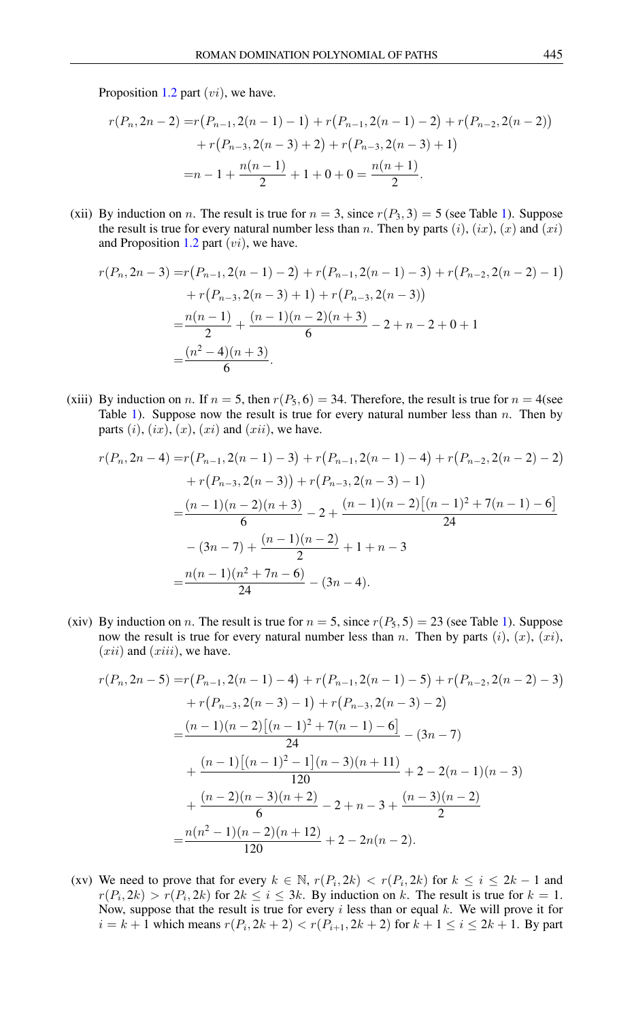Proposition [1.2](#page-1-1) part  $(v_i)$ , we have.

$$
r(P_n, 2n - 2) = r(P_{n-1}, 2(n - 1) - 1) + r(P_{n-1}, 2(n - 1) - 2) + r(P_{n-2}, 2(n - 2))
$$

$$
+ r(P_{n-3}, 2(n - 3) + 2) + r(P_{n-3}, 2(n - 3) + 1)
$$

$$
= n - 1 + \frac{n(n - 1)}{2} + 1 + 0 + 0 = \frac{n(n + 1)}{2}.
$$

(xii) By induction on n. The result is true for  $n = 3$ , since  $r(P_3, 3) = 5$  (see Table [1\)](#page-2-2). Suppose the result is true for every natural number less than n. Then by parts  $(i)$ ,  $(ix)$ ,  $(x)$  and  $(xi)$ and Proposition [1.2](#page-1-1) part  $(v_i)$ , we have.

$$
r(P_n, 2n-3) = r(P_{n-1}, 2(n-1) - 2) + r(P_{n-1}, 2(n-1) - 3) + r(P_{n-2}, 2(n-2) - 1)
$$
  
+ 
$$
r(P_{n-3}, 2(n-3) + 1) + r(P_{n-3}, 2(n-3))
$$
  
= 
$$
\frac{n(n-1)}{2} + \frac{(n-1)(n-2)(n+3)}{6} - 2 + n - 2 + 0 + 1
$$
  
= 
$$
\frac{(n^2 - 4)(n+3)}{6}.
$$

(xiii) By induction on n. If  $n = 5$ , then  $r(P_5, 6) = 34$ . Therefore, the result is true for  $n = 4$ (see Table [1\)](#page-2-2). Suppose now the result is true for every natural number less than  $n$ . Then by parts  $(i)$ ,  $(ix)$ ,  $(x)$ ,  $(xi)$  and  $(xii)$ , we have.

$$
r(P_n, 2n - 4) = r(P_{n-1}, 2(n - 1) - 3) + r(P_{n-1}, 2(n - 1) - 4) + r(P_{n-2}, 2(n - 2) - 2)
$$

$$
+ r(P_{n-3}, 2(n - 3)) + r(P_{n-3}, 2(n - 3) - 1)
$$

$$
= \frac{(n - 1)(n - 2)(n + 3)}{6} - 2 + \frac{(n - 1)(n - 2)[(n - 1)^2 + 7(n - 1) - 6]}{24}
$$

$$
= (3n - 7) + \frac{(n - 1)(n - 2)}{2} + 1 + n - 3
$$

$$
= \frac{n(n - 1)(n^2 + 7n - 6)}{24} - (3n - 4).
$$

(xiv) By induction on *n*. The result is true for  $n = 5$ , since  $r(P_5, 5) = 23$  (see Table [1\)](#page-2-2). Suppose now the result is true for every natural number less than n. Then by parts  $(i)$ ,  $(x)$ ,  $(xi)$ ,  $(xii)$  and  $(xiii)$ , we have.

$$
r(P_n, 2n - 5) = r(P_{n-1}, 2(n - 1) - 4) + r(P_{n-1}, 2(n - 1) - 5) + r(P_{n-2}, 2(n - 2) - 3)
$$
  
+ 
$$
r(P_{n-3}, 2(n - 3) - 1) + r(P_{n-3}, 2(n - 3) - 2)
$$
  
= 
$$
\frac{(n - 1)(n - 2)[(n - 1)^2 + 7(n - 1) - 6]}{24} - (3n - 7)
$$
  
+ 
$$
\frac{(n - 1)[(n - 1)^2 - 1](n - 3)(n + 11)}{120} + 2 - 2(n - 1)(n - 3)
$$
  
+ 
$$
\frac{(n - 2)(n - 3)(n + 2)}{6} - 2 + n - 3 + \frac{(n - 3)(n - 2)}{2}
$$
  
= 
$$
\frac{n(n^2 - 1)(n - 2)(n + 12)}{120} + 2 - 2n(n - 2).
$$

(xv) We need to prove that for every  $k \in \mathbb{N}$ ,  $r(P_i, 2k) < r(P_i, 2k)$  for  $k \le i \le 2k - 1$  and  $r(P_i, 2k) > r(P_i, 2k)$  for  $2k \leq i \leq 3k$ . By induction on k. The result is true for  $k = 1$ . Now, suppose that the result is true for every  $i$  less than or equal  $k$ . We will prove it for  $i = k + 1$  which means  $r(P_i, 2k + 2) < r(P_{i+1}, 2k + 2)$  for  $k + 1 \le i \le 2k + 1$ . By part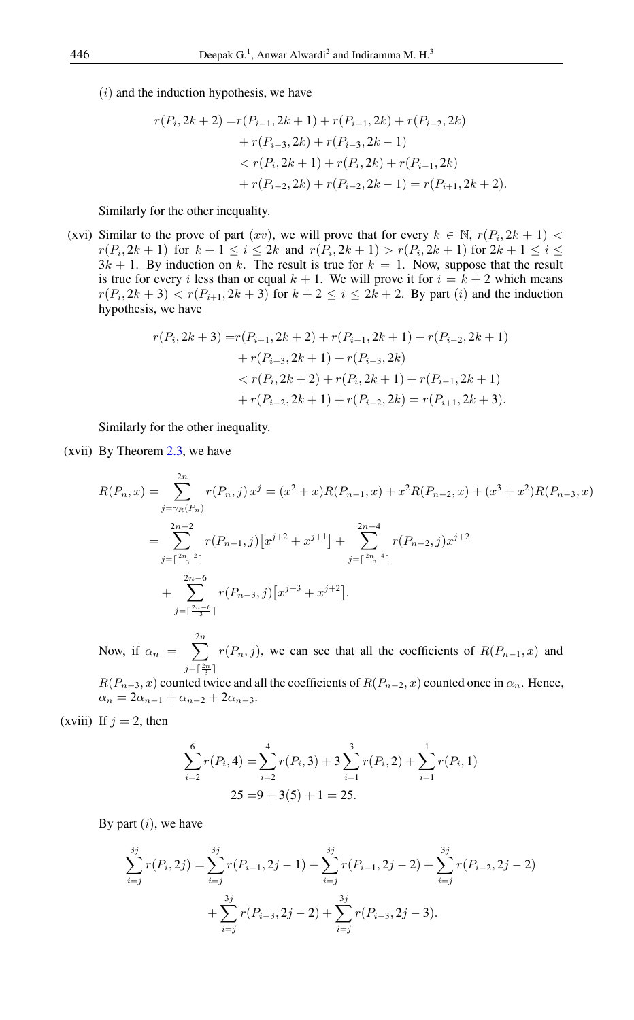$(i)$  and the induction hypothesis, we have

$$
r(P_i, 2k+2) = r(P_{i-1}, 2k+1) + r(P_{i-1}, 2k) + r(P_{i-2}, 2k)
$$
  
+ 
$$
r(P_{i-3}, 2k) + r(P_{i-3}, 2k-1)
$$
  

$$
< r(P_i, 2k+1) + r(P_i, 2k) + r(P_{i-1}, 2k)
$$
  
+ 
$$
r(P_{i-2}, 2k) + r(P_{i-2}, 2k-1) = r(P_{i+1}, 2k+2).
$$

Similarly for the other inequality.

(xvi) Similar to the prove of part  $(xv)$ , we will prove that for every  $k \in \mathbb{N}$ ,  $r(P_i, 2k + 1)$  $r(P_i, 2k+1)$  for  $k+1 \leq i \leq 2k$  and  $r(P_i, 2k+1) > r(P_i, 2k+1)$  for  $2k+1 \leq i \leq k$  $3k + 1$ . By induction on k. The result is true for  $k = 1$ . Now, suppose that the result is true for every i less than or equal  $k + 1$ . We will prove it for  $i = k + 2$  which means  $r(P_i, 2k+3) < r(P_{i+1}, 2k+3)$  for  $k+2 \le i \le 2k+2$ . By part  $(i)$  and the induction hypothesis, we have

$$
r(P_i, 2k+3) = r(P_{i-1}, 2k+2) + r(P_{i-1}, 2k+1) + r(P_{i-2}, 2k+1)
$$
  
+ 
$$
r(P_{i-3}, 2k+1) + r(P_{i-3}, 2k)
$$
  

$$
< r(P_i, 2k+2) + r(P_i, 2k+1) + r(P_{i-1}, 2k+1)
$$
  
+ 
$$
r(P_{i-2}, 2k+1) + r(P_{i-2}, 2k) = r(P_{i+1}, 2k+3).
$$

Similarly for the other inequality.

(xvii) By Theorem [2.3,](#page-2-1) we have

$$
R(P_n, x) = \sum_{j=\gamma_R(P_n)}^{2n} r(P_n, j) x^j = (x^2 + x)R(P_{n-1}, x) + x^2 R(P_{n-2}, x) + (x^3 + x^2)R(P_{n-3}, x)
$$
  
= 
$$
\sum_{j=\lceil \frac{2n-2}{3} \rceil}^{2n-2} r(P_{n-1}, j) [x^{j+2} + x^{j+1}] + \sum_{j=\lceil \frac{2n-4}{3} \rceil}^{2n-4} r(P_{n-2}, j) x^{j+2}
$$
  
+ 
$$
\sum_{j=\lceil \frac{2n-6}{3} \rceil}^{2n-6} r(P_{n-3}, j) [x^{j+3} + x^{j+2}].
$$

Now, if  $\alpha_n = \sum_{n=1}^{2n}$  $j=\lceil \frac{2n}{3} \rceil$  $r(P_n, j)$ , we can see that all the coefficients of  $R(P_{n-1}, x)$  and

 $R(P_{n-3}, x)$  counted twice and all the coefficients of  $R(P_{n-2}, x)$  counted once in  $\alpha_n$ . Hence,  $\alpha_n = 2\alpha_{n-1} + \alpha_{n-2} + 2\alpha_{n-3}.$ 

(xviii) If  $j = 2$ , then

$$
\sum_{i=2}^{6} r(P_i, 4) = \sum_{i=2}^{4} r(P_i, 3) + 3 \sum_{i=1}^{3} r(P_i, 2) + \sum_{i=1}^{1} r(P_i, 1)
$$
  
25 = 9 + 3(5) + 1 = 25.

By part  $(i)$ , we have

$$
\sum_{i=j}^{3j} r(P_i, 2j) = \sum_{i=j}^{3j} r(P_{i-1}, 2j - 1) + \sum_{i=j}^{3j} r(P_{i-1}, 2j - 2) + \sum_{i=j}^{3j} r(P_{i-2}, 2j - 2) + \sum_{i=j}^{3j} r(P_{i-3}, 2j - 2) + \sum_{i=j}^{3j} r(P_{i-3}, 2j - 3).
$$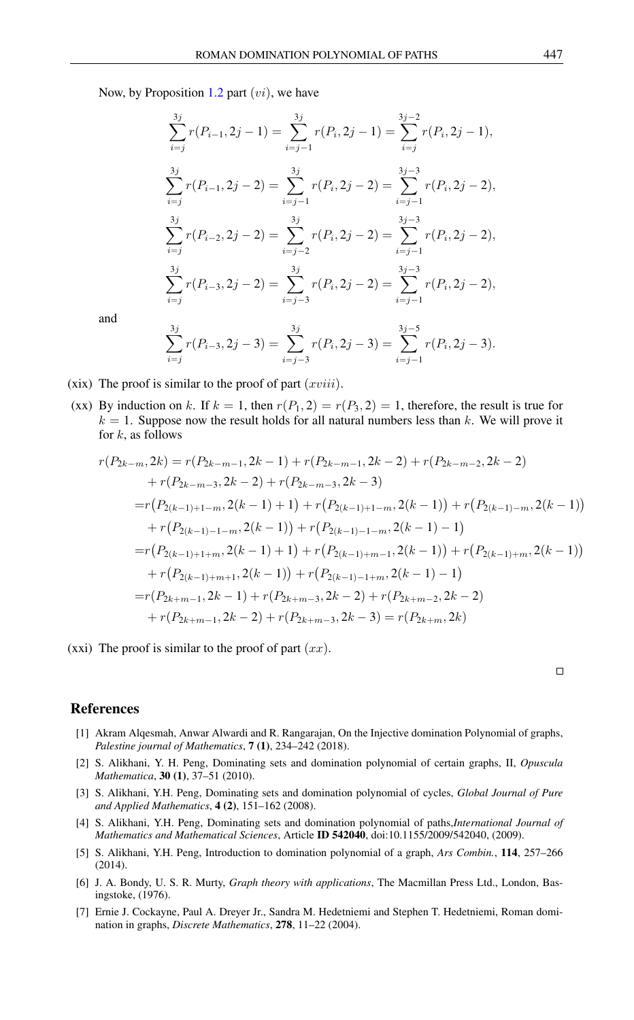Now, by Proposition [1.2](#page-1-1) part  $(v_i)$ , we have

$$
\sum_{i=j}^{3j} r(P_{i-1}, 2j - 1) = \sum_{i=j-1}^{3j} r(P_i, 2j - 1) = \sum_{i=j}^{3j-2} r(P_i, 2j - 1),
$$
  

$$
\sum_{i=j}^{3j} r(P_{i-1}, 2j - 2) = \sum_{i=j-1}^{3j} r(P_i, 2j - 2) = \sum_{i=j-1}^{3j-3} r(P_i, 2j - 2),
$$
  

$$
\sum_{i=j}^{3j} r(P_{i-2}, 2j - 2) = \sum_{i=j-2}^{3j} r(P_i, 2j - 2) = \sum_{i=j-1}^{3j-3} r(P_i, 2j - 2),
$$
  

$$
\sum_{i=j}^{3j} r(P_{i-3}, 2j - 2) = \sum_{i=j-3}^{3j} r(P_i, 2j - 2) = \sum_{i=j-1}^{3j-3} r(P_i, 2j - 2),
$$

and

$$
\sum_{i=j}^{3j} r(P_{i-3}, 2j-3) = \sum_{i=j-3}^{3j} r(P_i, 2j-3) = \sum_{i=j-1}^{3j-5} r(P_i, 2j-3).
$$

- (xix) The proof is similar to the proof of part  $(xviii)$ .
- (xx) By induction on k. If  $k = 1$ , then  $r(P_1, 2) = r(P_3, 2) = 1$ , therefore, the result is true for  $k = 1$ . Suppose now the result holds for all natural numbers less than k. We will prove it for  $k$ , as follows

$$
r(P_{2k-m}, 2k) = r(P_{2k-m-1}, 2k-1) + r(P_{2k-m-1}, 2k-2) + r(P_{2k-m-2}, 2k-2)
$$
  
+  $r(P_{2k-m-3}, 2k-2) + r(P_{2k-m-3}, 2k-3)$   
=  $r(P_{2(k-1)+1-m}, 2(k-1) + 1) + r(P_{2(k-1)+1-m}, 2(k-1)) + r(P_{2(k-1)-m}, 2(k-1))$   
+  $r(P_{2(k-1)-1-m}, 2(k-1)) + r(P_{2(k-1)-1-m}, 2(k-1) - 1)$   
=  $r(P_{2(k-1)+1+m}, 2(k-1) + 1) + r(P_{2(k-1)+m-1}, 2(k-1)) + r(P_{2(k-1)+m}, 2(k-1))$   
+  $r(P_{2(k-1)+m+1}, 2(k-1)) + r(P_{2(k-1)-1+m}, 2(k-1) - 1)$   
=  $r(P_{2k+m-1}, 2k-1) + r(P_{2k+m-3}, 2k-2) + r(P_{2k+m-2}, 2k-2)$   
+  $r(P_{2k+m-1}, 2k-2) + r(P_{2k+m-3}, 2k-3) = r(P_{2k+m}, 2k)$ 

(xxi) The proof is similar to the proof of part  $(xx)$ .

 $\Box$ 

#### <span id="page-8-0"></span>References

- <span id="page-8-7"></span>[1] Akram Alqesmah, Anwar Alwardi and R. Rangarajan, On the Injective domination Polynomial of graphs, *Palestine journal of Mathematics*, 7 (1), 234–242 (2018).
- <span id="page-8-6"></span>[2] S. Alikhani, Y. H. Peng, Dominating sets and domination polynomial of certain graphs, II, *Opuscula Mathematica*, 30 (1), 37–51 (2010).
- <span id="page-8-4"></span>[3] S. Alikhani, Y.H. Peng, Dominating sets and domination polynomial of cycles, *Global Journal of Pure and Applied Mathematics*, 4 (2), 151–162 (2008).
- <span id="page-8-5"></span>[4] S. Alikhani, Y.H. Peng, Dominating sets and domination polynomial of paths,*International Journal of Mathematics and Mathematical Sciences*, Article ID 542040, doi:10.1155/2009/542040, (2009).
- <span id="page-8-3"></span>[5] S. Alikhani, Y.H. Peng, Introduction to domination polynomial of a graph, *Ars Combin.*, 114, 257–266 (2014).
- <span id="page-8-1"></span>[6] J. A. Bondy, U. S. R. Murty, *Graph theory with applications*, The Macmillan Press Ltd., London, Basingstoke, (1976).
- <span id="page-8-2"></span>[7] Ernie J. Cockayne, Paul A. Dreyer Jr., Sandra M. Hedetniemi and Stephen T. Hedetniemi, Roman domination in graphs, *Discrete Mathematics*, 278, 11–22 (2004).